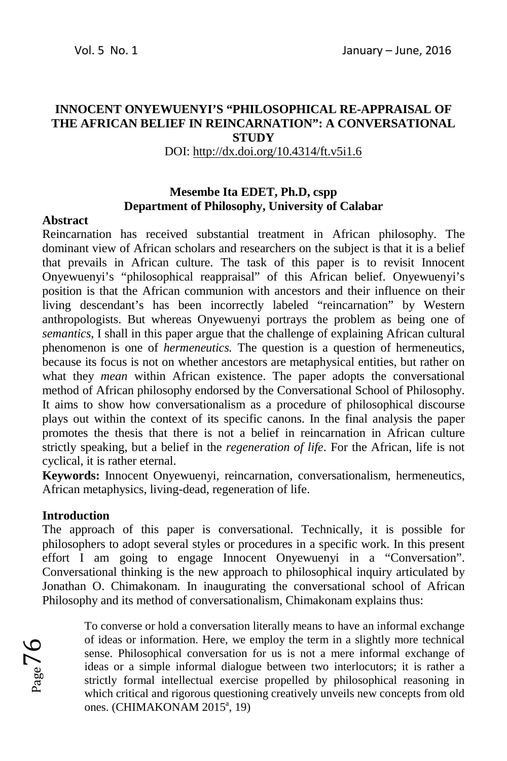# **INNOCENT ONYEWUENYI'S "PHILOSOPHICAL RE-APPRAISAL OF THE AFRICAN BELIEF IN REINCARNATION": A CONVERSATIONAL STUDY**

DOI: http://dx.doi.org/10.4314/ft.v5i1.6

# **Mesembe Ita EDET, Ph.D, cspp Department of Philosophy, University of Calabar**

## **Abstract**

Reincarnation has received substantial treatment in African philosophy. The dominant view of African scholars and researchers on the subject is that it is a belief that prevails in African culture. The task of this paper is to revisit Innocent Onyewuenyi's "philosophical reappraisal" of this African belief. Onyewuenyi's position is that the African communion with ancestors and their influence on their living descendant's has been incorrectly labeled "reincarnation" by Western anthropologists. But whereas Onyewuenyi portrays the problem as being one of *semantics*, I shall in this paper argue that the challenge of explaining African cultural phenomenon is one of *hermeneutics.* The question is a question of hermeneutics, because its focus is not on whether ancestors are metaphysical entities, but rather on what they *mean* within African existence. The paper adopts the conversational method of African philosophy endorsed by the Conversational School of Philosophy. It aims to show how conversationalism as a procedure of philosophical discourse plays out within the context of its specific canons. In the final analysis the paper promotes the thesis that there is not a belief in reincarnation in African culture strictly speaking, but a belief in the *regeneration of life*. For the African, life is not cyclical, it is rather eternal.

**Keywords:** Innocent Onyewuenyi, reincarnation, conversationalism, hermeneutics, African metaphysics, living-dead, regeneration of life.

## **Introduction**

The approach of this paper is conversational. Technically, it is possible for philosophers to adopt several styles or procedures in a specific work. In this present effort I am going to engage Innocent Onyewuenyi in a "Conversation". Conversational thinking is the new approach to philosophical inquiry articulated by Jonathan O. Chimakonam. In inaugurating the conversational school of African Philosophy and its method of conversationalism, Chimakonam explains thus:



To converse or hold a conversation literally means to have an informal exchange of ideas or information. Here, we employ the term in a slightly more technical sense. Philosophical conversation for us is not a mere informal exchange of ideas or a simple informal dialogue between two interlocutors; it is rather a strictly formal intellectual exercise propelled by philosophical reasoning in which critical and rigorous questioning creatively unveils new concepts from old ones. (CHIMAKONAM 2015<sup>a</sup>, 19)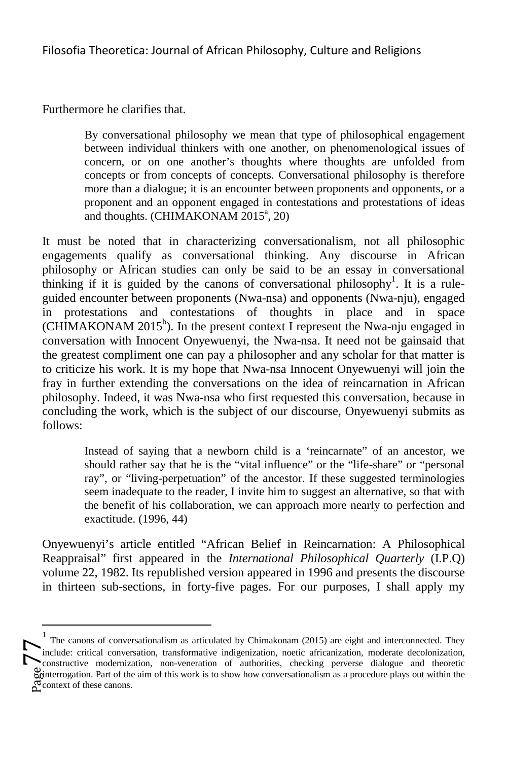Furthermore he clarifies that.

<u>.</u>

By conversational philosophy we mean that type of philosophical engagement between individual thinkers with one another, on phenomenological issues of concern, or on one another's thoughts where thoughts are unfolded from concepts or from concepts of concepts. Conversational philosophy is therefore more than a dialogue; it is an encounter between proponents and opponents, or a proponent and an opponent engaged in contestations and protestations of ideas and thoughts. (CHIMAKONAM 2015<sup>a</sup>, 20)

It must be noted that in characterizing conversationalism, not all philosophic engagements qualify as conversational thinking. Any discourse in African philosophy or African studies can only be said to be an essay in conversational thinking if it is guided by the canons of conversational philosophy<sup>1</sup>. It is a ruleguided encounter between proponents (Nwa-nsa) and opponents (Nwa-nju), engaged in protestations and contestations of thoughts in place and in space (CHIMAKONAM 2015<sup>b</sup>). In the present context I represent the Nwa-nju engaged in conversation with Innocent Onyewuenyi, the Nwa-nsa. It need not be gainsaid that the greatest compliment one can pay a philosopher and any scholar for that matter is to criticize his work. It is my hope that Nwa-nsa Innocent Onyewuenyi will join the fray in further extending the conversations on the idea of reincarnation in African philosophy. Indeed, it was Nwa-nsa who first requested this conversation, because in concluding the work, which is the subject of our discourse, Onyewuenyi submits as follows:

Instead of saying that a newborn child is a 'reincarnate" of an ancestor, we should rather say that he is the "vital influence" or the "life-share" or "personal ray", or "living-perpetuation" of the ancestor. If these suggested terminologies seem inadequate to the reader, I invite him to suggest an alternative, so that with the benefit of his collaboration, we can approach more nearly to perfection and exactitude. (1996, 44)

Onyewuenyi's article entitled "African Belief in Reincarnation: A Philosophical Reappraisal" first appeared in the *International Philosophical Quarterly* (I.P.Q) volume 22, 1982. Its republished version appeared in 1996 and presents the discourse in thirteen sub-sections, in forty-five pages. For our purposes, I shall apply my

 $\sum_{\substack{\text{ion} \ \text{goint} \ \text{con} \\ \mathbb{R} \text{con}}}$ <sup>1</sup> The canons of conversationalism as articulated by Chimakonam (2015) are eight and interconnected. They include: critical conversation, transformative indigenization, noetic africanization, moderate decolonization, constructive modernization, non-veneration of authorities, checking perverse dialogue and theoretic interrogation. Part of the aim of this work is to show how conversationalism as a procedure plays out within the context of these canons.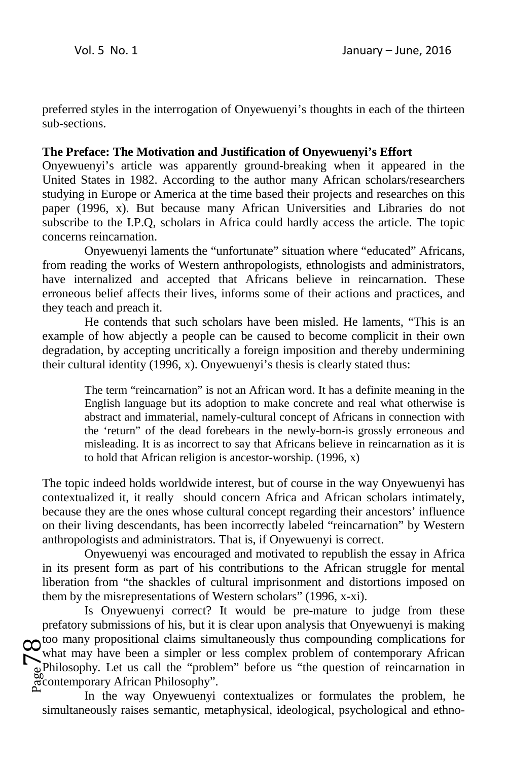preferred styles in the interrogation of Onyewuenyi's thoughts in each of the thirteen sub-sections.

## **The Preface: The Motivation and Justification of Onyewuenyi's Effort**

Onyewuenyi's article was apparently ground-breaking when it appeared in the United States in 1982. According to the author many African scholars/researchers studying in Europe or America at the time based their projects and researches on this paper (1996, x). But because many African Universities and Libraries do not subscribe to the I.P.Q, scholars in Africa could hardly access the article. The topic concerns reincarnation.

 Onyewuenyi laments the "unfortunate" situation where "educated" Africans, from reading the works of Western anthropologists, ethnologists and administrators, have internalized and accepted that Africans believe in reincarnation. These erroneous belief affects their lives, informs some of their actions and practices, and they teach and preach it.

 He contends that such scholars have been misled. He laments, "This is an example of how abjectly a people can be caused to become complicit in their own degradation, by accepting uncritically a foreign imposition and thereby undermining their cultural identity (1996, x). Onyewuenyi's thesis is clearly stated thus:

The term "reincarnation" is not an African word. It has a definite meaning in the English language but its adoption to make concrete and real what otherwise is abstract and immaterial, namely-cultural concept of Africans in connection with the 'return" of the dead forebears in the newly-born-is grossly erroneous and misleading. It is as incorrect to say that Africans believe in reincarnation as it is to hold that African religion is ancestor-worship. (1996, x)

The topic indeed holds worldwide interest, but of course in the way Onyewuenyi has contextualized it, it really should concern Africa and African scholars intimately, because they are the ones whose cultural concept regarding their ancestors' influence on their living descendants, has been incorrectly labeled "reincarnation" by Western anthropologists and administrators. That is, if Onyewuenyi is correct.

 Onyewuenyi was encouraged and motivated to republish the essay in Africa in its present form as part of his contributions to the African struggle for mental liberation from "the shackles of cultural imprisonment and distortions imposed on them by the misrepresentations of Western scholars" (1996, x-xi).

What may hopositional claims since<br>what may have been a simpler or<br>philosophy. Let us call the "proble<br>contemporary African Philosophy". Is Onyewuenyi correct? It would be pre-mature to judge from these prefatory submissions of his, but it is clear upon analysis that Onyewuenyi is making too many propositional claims simultaneously thus compounding complications for what may have been a simpler or less complex problem of contemporary African Philosophy. Let us call the "problem" before us "the question of reincarnation in

In the way Onyewuenyi contextualizes or formulates the problem, he simultaneously raises semantic, metaphysical, ideological, psychological and ethno-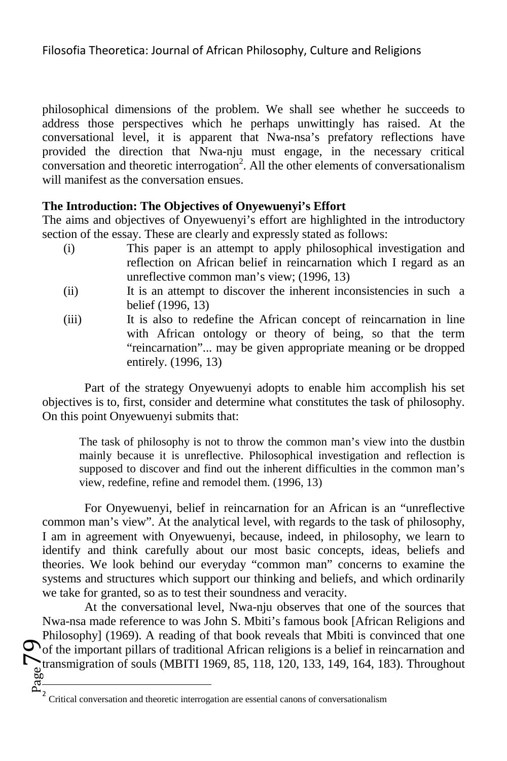philosophical dimensions of the problem. We shall see whether he succeeds to address those perspectives which he perhaps unwittingly has raised. At the conversational level, it is apparent that Nwa-nsa's prefatory reflections have provided the direction that Nwa-nju must engage, in the necessary critical  $\frac{1}{2}$  conversation and theoretic interrogation<sup>2</sup>. All the other elements of conversationalism will manifest as the conversation ensues.

# **The Introduction: The Objectives of Onyewuenyi's Effort**

The aims and objectives of Onyewuenyi's effort are highlighted in the introductory section of the essay. These are clearly and expressly stated as follows:

- (i) This paper is an attempt to apply philosophical investigation and reflection on African belief in reincarnation which I regard as an unreflective common man's view; (1996, 13)
- (ii) It is an attempt to discover the inherent inconsistencies in such a belief (1996, 13)
- (iii) It is also to redefine the African concept of reincarnation in line with African ontology or theory of being, so that the term "reincarnation"... may be given appropriate meaning or be dropped entirely. (1996, 13)

 Part of the strategy Onyewuenyi adopts to enable him accomplish his set objectives is to, first, consider and determine what constitutes the task of philosophy. On this point Onyewuenyi submits that:

The task of philosophy is not to throw the common man's view into the dustbin mainly because it is unreflective. Philosophical investigation and reflection is supposed to discover and find out the inherent difficulties in the common man's view, redefine, refine and remodel them. (1996, 13)

 For Onyewuenyi, belief in reincarnation for an African is an "unreflective common man's view". At the analytical level, with regards to the task of philosophy, I am in agreement with Onyewuenyi, because, indeed, in philosophy, we learn to identify and think carefully about our most basic concepts, ideas, beliefs and theories. We look behind our everyday "common man" concerns to examine the systems and structures which support our thinking and beliefs, and which ordinarily we take for granted, so as to test their soundness and veracity.

 $\sum_{\mathrm{p},\mathrm{gen}}^{\mathrm{d}}$  At the conversational level, Nwa-nju observes that one of the sources that Nwa-nsa made reference to was John S. Mbiti's famous book [African Religions and Philosophy] (1969). A reading of that book reveals that Mbiti is convinced that one  $\mathcal{D}_{\text{of}}$  the important pillars of traditional African religions is a belief in reincarnation and transmigration of souls (MBITI 1969, 85, 118, 120, 133, 149, 164, 183). Throughout  $\frac{1}{2}$ 

Critical conversation and theoretic interrogation are essential canons of conversationalism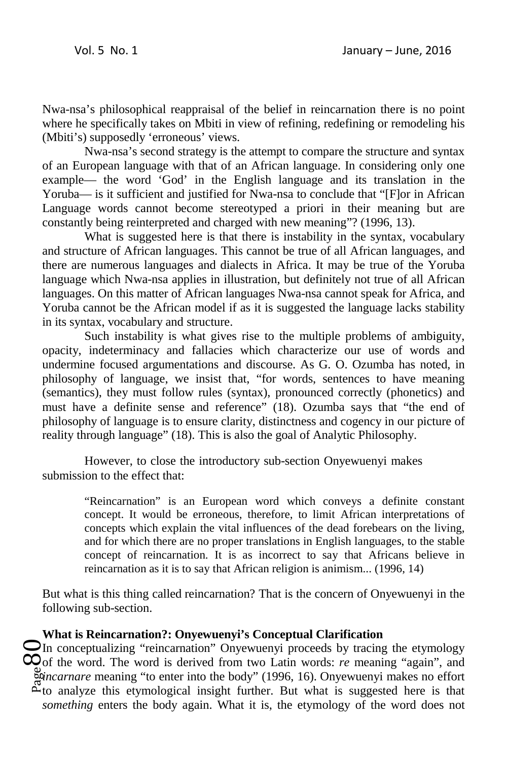Nwa-nsa's philosophical reappraisal of the belief in reincarnation there is no point where he specifically takes on Mbiti in view of refining, redefining or remodeling his (Mbiti's) supposedly 'erroneous' views.

 Nwa-nsa's second strategy is the attempt to compare the structure and syntax of an European language with that of an African language. In considering only one example— the word 'God' in the English language and its translation in the Yoruba— is it sufficient and justified for Nwa-nsa to conclude that "[F]or in African Language words cannot become stereotyped a priori in their meaning but are constantly being reinterpreted and charged with new meaning"? (1996, 13).

What is suggested here is that there is instability in the syntax, vocabulary and structure of African languages. This cannot be true of all African languages, and there are numerous languages and dialects in Africa. It may be true of the Yoruba language which Nwa-nsa applies in illustration, but definitely not true of all African languages. On this matter of African languages Nwa-nsa cannot speak for Africa, and Yoruba cannot be the African model if as it is suggested the language lacks stability in its syntax, vocabulary and structure.

 Such instability is what gives rise to the multiple problems of ambiguity, opacity, indeterminacy and fallacies which characterize our use of words and undermine focused argumentations and discourse. As G. O. Ozumba has noted, in philosophy of language, we insist that, "for words, sentences to have meaning (semantics), they must follow rules (syntax), pronounced correctly (phonetics) and must have a definite sense and reference" (18). Ozumba says that "the end of philosophy of language is to ensure clarity, distinctness and cogency in our picture of reality through language" (18). This is also the goal of Analytic Philosophy.

 However, to close the introductory sub-section Onyewuenyi makes submission to the effect that:

> "Reincarnation" is an European word which conveys a definite constant concept. It would be erroneous, therefore, to limit African interpretations of concepts which explain the vital influences of the dead forebears on the living, and for which there are no proper translations in English languages, to the stable concept of reincarnation. It is as incorrect to say that Africans believe in reincarnation as it is to say that African religion is animism... (1996, 14)

But what is this thing called reincarnation? That is the concern of Onyewuenyi in the following sub-section.

# **What is Reincarnation?: Onyewuenyi's Conceptual Clarification**

 $\bigotimes_{\substack{\text{def} \ \text{sign}\ \text{A}}} \Pi$ In conceptualizing "reincarnation" Onyewuenyi proceeds by tracing the etymology of the word. The word is derived from two Latin words: *re* meaning "again", and *incarnare* meaning "to enter into the body" (1996, 16). Onyewuenyi makes no effort  $\mathbb{Z}_{\text{to}}$  analyze this etymological insight further. But what is suggested here is that *something* enters the body again. What it is, the etymology of the word does not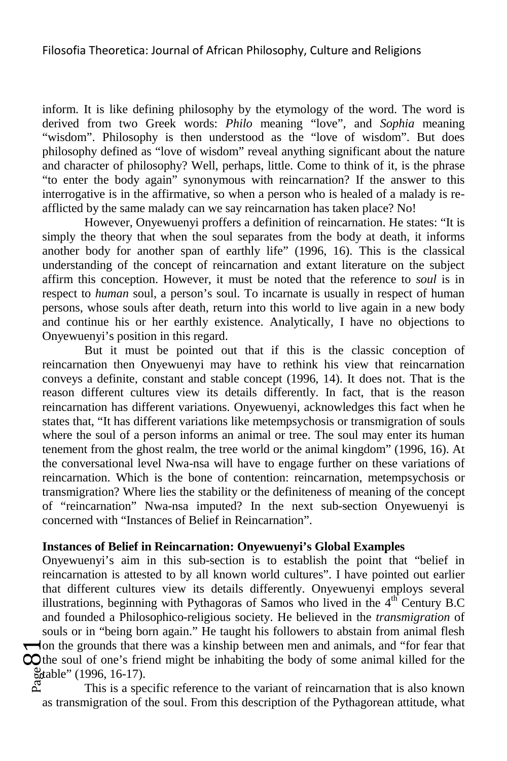inform. It is like defining philosophy by the etymology of the word. The word is derived from two Greek words: *Philo* meaning "love", and *Sophia* meaning "wisdom". Philosophy is then understood as the "love of wisdom". But does philosophy defined as "love of wisdom" reveal anything significant about the nature and character of philosophy? Well, perhaps, little. Come to think of it, is the phrase "to enter the body again" synonymous with reincarnation? If the answer to this interrogative is in the affirmative, so when a person who is healed of a malady is reafflicted by the same malady can we say reincarnation has taken place? No!

 However, Onyewuenyi proffers a definition of reincarnation. He states: "It is simply the theory that when the soul separates from the body at death, it informs another body for another span of earthly life" (1996, 16). This is the classical understanding of the concept of reincarnation and extant literature on the subject affirm this conception. However, it must be noted that the reference to *soul* is in respect to *human* soul, a person's soul. To incarnate is usually in respect of human persons, whose souls after death, return into this world to live again in a new body and continue his or her earthly existence. Analytically, I have no objections to Onyewuenyi's position in this regard.

But it must be pointed out that if this is the classic conception of reincarnation then Onyewuenyi may have to rethink his view that reincarnation conveys a definite, constant and stable concept (1996, 14). It does not. That is the reason different cultures view its details differently. In fact, that is the reason reincarnation has different variations. Onyewuenyi, acknowledges this fact when he states that, "It has different variations like metempsychosis or transmigration of souls where the soul of a person informs an animal or tree. The soul may enter its human tenement from the ghost realm, the tree world or the animal kingdom" (1996, 16). At the conversational level Nwa-nsa will have to engage further on these variations of reincarnation. Which is the bone of contention: reincarnation, metempsychosis or transmigration? Where lies the stability or the definiteness of meaning of the concept of "reincarnation" Nwa-nsa imputed? In the next sub-section Onyewuenyi is concerned with "Instances of Belief in Reincarnation".

## **Instances of Belief in Reincarnation: Onyewuenyi's Global Examples**

 $\mathcal{D}_{\text{data}}^{\text{don}}$ Onyewuenyi's aim in this sub-section is to establish the point that "belief in reincarnation is attested to by all known world cultures". I have pointed out earlier that different cultures view its details differently. Onyewuenyi employs several illustrations, beginning with Pythagoras of Samos who lived in the  $4<sup>th</sup>$  Century B.C and founded a Philosophico-religious society. He believed in the *transmigration* of souls or in "being born again." He taught his followers to abstain from animal flesh on the grounds that there was a kinship between men and animals, and "for fear that Othe soul of one's friend might be inhabiting the body of some animal killed for the table" (1996, 16-17).

 This is a specific reference to the variant of reincarnation that is also known as transmigration of the soul. From this description of the Pythagorean attitude, what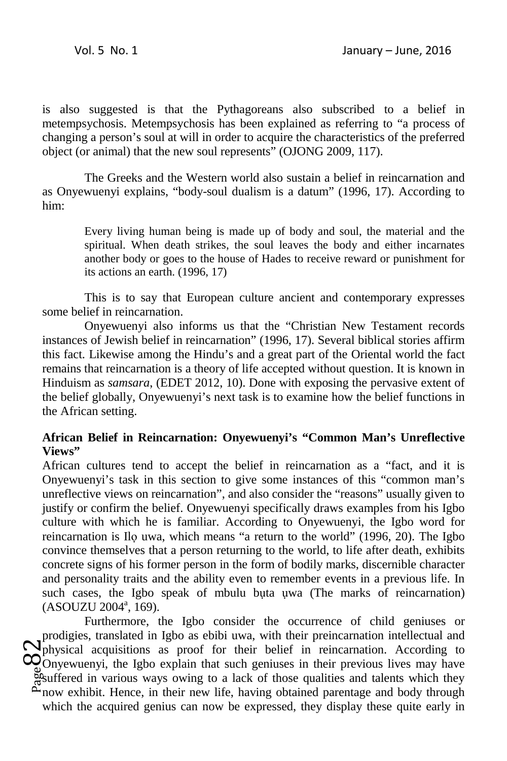is also suggested is that the Pythagoreans also subscribed to a belief in metempsychosis. Metempsychosis has been explained as referring to "a process of changing a person's soul at will in order to acquire the characteristics of the preferred object (or animal) that the new soul represents" (OJONG 2009, 117).

 The Greeks and the Western world also sustain a belief in reincarnation and as Onyewuenyi explains, "body-soul dualism is a datum" (1996, 17). According to him:

Every living human being is made up of body and soul, the material and the spiritual. When death strikes, the soul leaves the body and either incarnates another body or goes to the house of Hades to receive reward or punishment for its actions an earth. (1996, 17)

 This is to say that European culture ancient and contemporary expresses some belief in reincarnation.

Onyewuenyi also informs us that the "Christian New Testament records instances of Jewish belief in reincarnation" (1996, 17). Several biblical stories affirm this fact. Likewise among the Hindu's and a great part of the Oriental world the fact remains that reincarnation is a theory of life accepted without question. It is known in Hinduism as *samsara*, (EDET 2012, 10). Done with exposing the pervasive extent of the belief globally, Onyewuenyi's next task is to examine how the belief functions in the African setting.

# **African Belief in Reincarnation: Onyewuenyi's "Common Man's Unreflective Views"**

African cultures tend to accept the belief in reincarnation as a "fact, and it is Onyewuenyi's task in this section to give some instances of this "common man's unreflective views on reincarnation", and also consider the "reasons" usually given to justify or confirm the belief. Onyewuenyi specifically draws examples from his Igbo culture with which he is familiar. According to Onyewuenyi, the Igbo word for reincarnation is Ilọ uwa, which means "a return to the world" (1996, 20). The Igbo convince themselves that a person returning to the world, to life after death, exhibits concrete signs of his former person in the form of bodily marks, discernible character and personality traits and the ability even to remember events in a previous life. In such cases, the Igbo speak of mbulu buta uwa (The marks of reincarnation)  $(ASOUZU 2004^a, 169).$ 

 $\Omega_{\rm g}^{\rm ph}$  Furthermore, the Igbo consider the occurrence of child geniuses or prodigies, translated in Igbo as ebibi uwa, with their preincarnation intellectual and physical acquisitions as proof for their belief in reincarnation. According to  $\overline{\mathcal{Q}}$  Onyewuenyi, the Igbo explain that such geniuses in their previous lives may have suffered in various ways owing to a lack of those qualities and talents which they  $\tilde{\mathfrak{m}}$  now exhibit. Hence, in their new life, having obtained parentage and body through which the acquired genius can now be expressed, they display these quite early in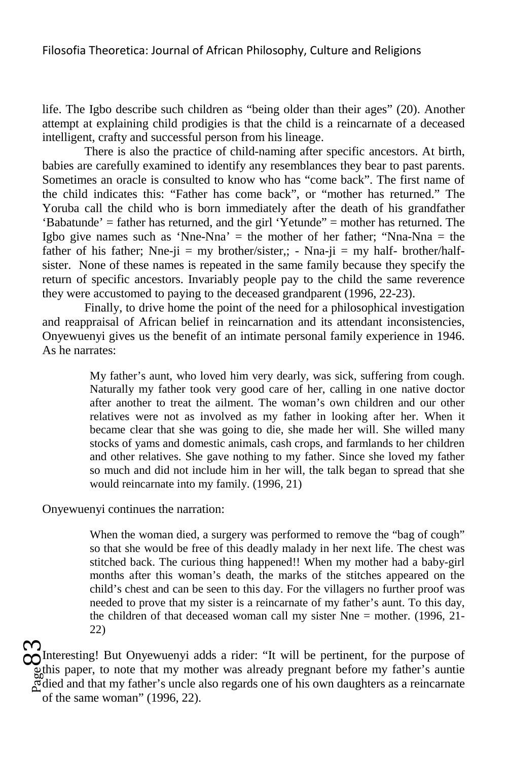life. The Igbo describe such children as "being older than their ages" (20). Another attempt at explaining child prodigies is that the child is a reincarnate of a deceased intelligent, crafty and successful person from his lineage.

 There is also the practice of child-naming after specific ancestors. At birth, babies are carefully examined to identify any resemblances they bear to past parents. Sometimes an oracle is consulted to know who has "come back". The first name of the child indicates this: "Father has come back", or "mother has returned." The Yoruba call the child who is born immediately after the death of his grandfather 'Babatunde' = father has returned, and the girl 'Yetunde" = mother has returned. The Igbo give names such as 'Nne-Nna' = the mother of her father; "Nna-Nna = the father of his father; Nne-ii = my brother/sister,;  $\overline{\phantom{a}}$  - Nna-ii = my half- brother/halfsister. None of these names is repeated in the same family because they specify the return of specific ancestors. Invariably people pay to the child the same reverence they were accustomed to paying to the deceased grandparent (1996, 22-23).

 Finally, to drive home the point of the need for a philosophical investigation and reappraisal of African belief in reincarnation and its attendant inconsistencies, Onyewuenyi gives us the benefit of an intimate personal family experience in 1946. As he narrates:

> My father's aunt, who loved him very dearly, was sick, suffering from cough. Naturally my father took very good care of her, calling in one native doctor after another to treat the ailment. The woman's own children and our other relatives were not as involved as my father in looking after her. When it became clear that she was going to die, she made her will. She willed many stocks of yams and domestic animals, cash crops, and farmlands to her children and other relatives. She gave nothing to my father. Since she loved my father so much and did not include him in her will, the talk began to spread that she would reincarnate into my family. (1996, 21)

Onyewuenyi continues the narration:

When the woman died, a surgery was performed to remove the "bag of cough" so that she would be free of this deadly malady in her next life. The chest was stitched back. The curious thing happened!! When my mother had a baby-girl months after this woman's death, the marks of the stitches appeared on the child's chest and can be seen to this day. For the villagers no further proof was needed to prove that my sister is a reincarnate of my father's aunt. To this day, the children of that deceased woman call my sister Nne = mother. (1996, 21- 22)

On Interesting! But Onyewuenyi adds a rider: "It will be pertinent, for the purpose of gthis paper, to note that my mother was already pregnant before my father's auntie  $\frac{1}{n}$  died and that my father's uncle also regar Interesting! But Onyewuenyi adds a rider: "It will be pertinent, for the purpose of this paper, to note that my mother was already pregnant before my father's auntie of the same woman" (1996, 22).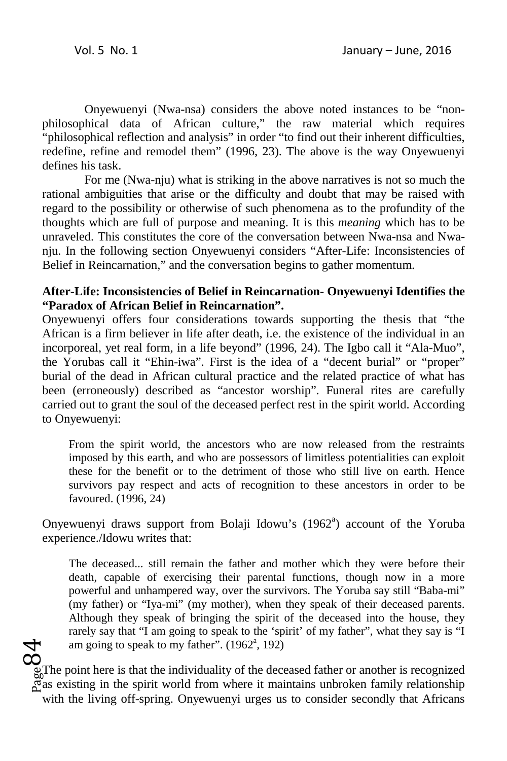Onyewuenyi (Nwa-nsa) considers the above noted instances to be "nonphilosophical data of African culture," the raw material which requires "philosophical reflection and analysis" in order "to find out their inherent difficulties, redefine, refine and remodel them" (1996, 23). The above is the way Onyewuenyi defines his task.

 For me (Nwa-nju) what is striking in the above narratives is not so much the rational ambiguities that arise or the difficulty and doubt that may be raised with regard to the possibility or otherwise of such phenomena as to the profundity of the thoughts which are full of purpose and meaning. It is this *meaning* which has to be unraveled. This constitutes the core of the conversation between Nwa-nsa and Nwanju. In the following section Onyewuenyi considers "After-Life: Inconsistencies of Belief in Reincarnation," and the conversation begins to gather momentum.

## **After-Life: Inconsistencies of Belief in Reincarnation- Onyewuenyi Identifies the "Paradox of African Belief in Reincarnation".**

Onyewuenyi offers four considerations towards supporting the thesis that "the African is a firm believer in life after death, i.e. the existence of the individual in an incorporeal, yet real form, in a life beyond" (1996, 24). The Igbo call it "Ala-Muo", the Yorubas call it "Ehin-iwa". First is the idea of a "decent burial" or "proper" burial of the dead in African cultural practice and the related practice of what has been (erroneously) described as "ancestor worship". Funeral rites are carefully carried out to grant the soul of the deceased perfect rest in the spirit world. According to Onyewuenyi:

From the spirit world, the ancestors who are now released from the restraints imposed by this earth, and who are possessors of limitless potentialities can exploit these for the benefit or to the detriment of those who still live on earth. Hence survivors pay respect and acts of recognition to these ancestors in order to be favoured. (1996, 24)

Onyewuenyi draws support from Bolaji Idowu's (1962<sup>a</sup>) account of the Yoruba experience./Idowu writes that:

The deceased... still remain the father and mother which they were before their death, capable of exercising their parental functions, though now in a more powerful and unhampered way, over the survivors. The Yoruba say still "Baba-mi" (my father) or "Iya-mi" (my mother), when they speak of their deceased parents. Although they speak of bringing the spirit of the deceased into the house, they rarely say that "I am going to speak to the 'spirit' of my father", what they say is "I am going to speak to my father".  $(1962^{\degree}, 192)$ 

as a going to speak to my father". (1962<sup>a</sup>, 192)<br>  $\bigotimes_{\substack{0 \text{odd}}}$ The point here is that the individuality of the deceased father or another is recognized<br>  $\bigoplus_{\substack{0 \text{odd}}}$  existing in the spirit world from where it ma The point here is that the individuality of the deceased father or another is recognized with the living off-spring. Onyewuenyi urges us to consider secondly that Africans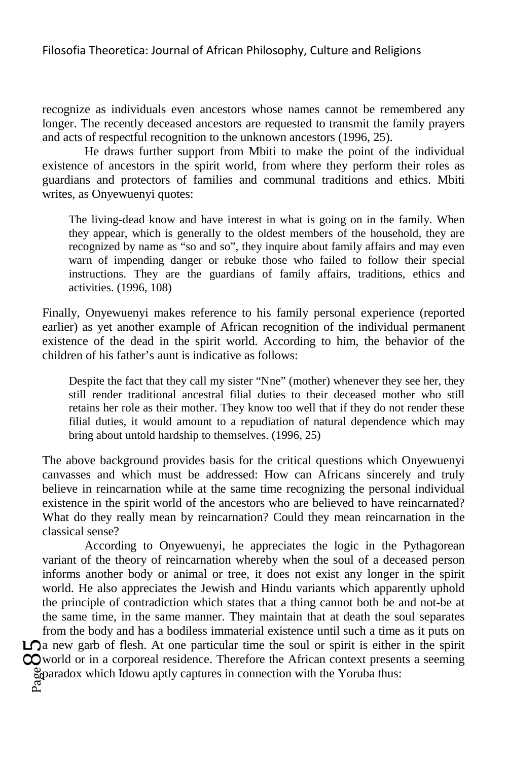recognize as individuals even ancestors whose names cannot be remembered any longer. The recently deceased ancestors are requested to transmit the family prayers and acts of respectful recognition to the unknown ancestors (1996, 25).

 He draws further support from Mbiti to make the point of the individual existence of ancestors in the spirit world, from where they perform their roles as guardians and protectors of families and communal traditions and ethics. Mbiti writes, as Onyewuenyi quotes:

The living-dead know and have interest in what is going on in the family. When they appear, which is generally to the oldest members of the household, they are recognized by name as "so and so", they inquire about family affairs and may even warn of impending danger or rebuke those who failed to follow their special instructions. They are the guardians of family affairs, traditions, ethics and activities. (1996, 108)

Finally, Onyewuenyi makes reference to his family personal experience (reported earlier) as yet another example of African recognition of the individual permanent existence of the dead in the spirit world. According to him, the behavior of the children of his father's aunt is indicative as follows:

Despite the fact that they call my sister "Nne" (mother) whenever they see her, they still render traditional ancestral filial duties to their deceased mother who still retains her role as their mother. They know too well that if they do not render these filial duties, it would amount to a repudiation of natural dependence which may bring about untold hardship to themselves. (1996, 25)

The above background provides basis for the critical questions which Onyewuenyi canvasses and which must be addressed: How can Africans sincerely and truly believe in reincarnation while at the same time recognizing the personal individual existence in the spirit world of the ancestors who are believed to have reincarnated? What do they really mean by reincarnation? Could they mean reincarnation in the classical sense?

 $\mathcal{D}^{\mathrm{a} \; \mathrm{1}}_{\mathrm{age}}$  According to Onyewuenyi, he appreciates the logic in the Pythagorean variant of the theory of reincarnation whereby when the soul of a deceased person informs another body or animal or tree, it does not exist any longer in the spirit world. He also appreciates the Jewish and Hindu variants which apparently uphold the principle of contradiction which states that a thing cannot both be and not-be at the same time, in the same manner. They maintain that at death the soul separates from the body and has a bodiless immaterial existence until such a time as it puts on  $\Box$ a new garb of flesh. At one particular time the soul or spirit is either in the spirit world or in a corporeal residence. Therefore the African context presents a seeming paradox which Idowu aptly captures in connection with the Yoruba thus: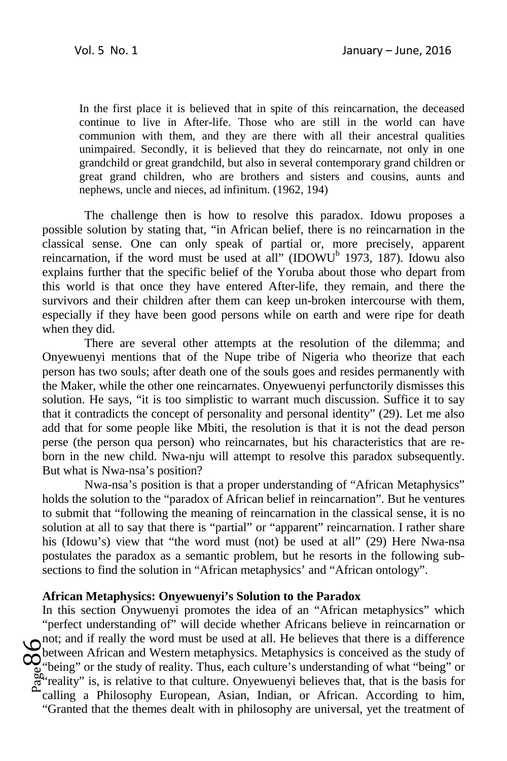In the first place it is believed that in spite of this reincarnation, the deceased continue to live in After-life. Those who are still in the world can have communion with them, and they are there with all their ancestral qualities unimpaired. Secondly, it is believed that they do reincarnate, not only in one grandchild or great grandchild, but also in several contemporary grand children or great grand children, who are brothers and sisters and cousins, aunts and nephews, uncle and nieces, ad infinitum. (1962, 194)

The challenge then is how to resolve this paradox. Idowu proposes a possible solution by stating that, "in African belief, there is no reincarnation in the classical sense. One can only speak of partial or, more precisely, apparent reincarnation, if the word must be used at all" (IDOWU<sup>b</sup> 1973, 187). Idowu also explains further that the specific belief of the Yoruba about those who depart from this world is that once they have entered After-life, they remain, and there the survivors and their children after them can keep un-broken intercourse with them, especially if they have been good persons while on earth and were ripe for death when they did.

 There are several other attempts at the resolution of the dilemma; and Onyewuenyi mentions that of the Nupe tribe of Nigeria who theorize that each person has two souls; after death one of the souls goes and resides permanently with the Maker, while the other one reincarnates. Onyewuenyi perfunctorily dismisses this solution. He says, "it is too simplistic to warrant much discussion. Suffice it to say that it contradicts the concept of personality and personal identity" (29). Let me also add that for some people like Mbiti, the resolution is that it is not the dead person perse (the person qua person) who reincarnates, but his characteristics that are reborn in the new child. Nwa-nju will attempt to resolve this paradox subsequently. But what is Nwa-nsa's position?

 Nwa-nsa's position is that a proper understanding of "African Metaphysics" holds the solution to the "paradox of African belief in reincarnation". But he ventures to submit that "following the meaning of reincarnation in the classical sense, it is no solution at all to say that there is "partial" or "apparent" reincarnation. I rather share his (Idowu's) view that "the word must (not) be used at all" (29) Here Nwa-nsa postulates the paradox as a semantic problem, but he resorts in the following subsections to find the solution in "African metaphysics' and "African ontology".

#### **African Metaphysics: Onyewuenyi's Solution to the Paradox**

Not, and if really the word must be used at all. The beneves that there is a difference between African and Western metaphysics. Metaphysics is conceived as the study of  $\frac{a_0}{b_0}$  "being" or the study of reality. Thus, In this section Onywuenyi promotes the idea of an "African metaphysics" which "perfect understanding of" will decide whether Africans believe in reincarnation or  $\Omega$  not; and if really the word must be used at all. He believes that there is a difference between African and Western metaphysics. Metaphysics is conceived as the study of "being" or the study of reality. Thus, each culture's understanding of what "being" or calling a Philosophy European, Asian, Indian, or African. According to him, "Granted that the themes dealt with in philosophy are universal, yet the treatment of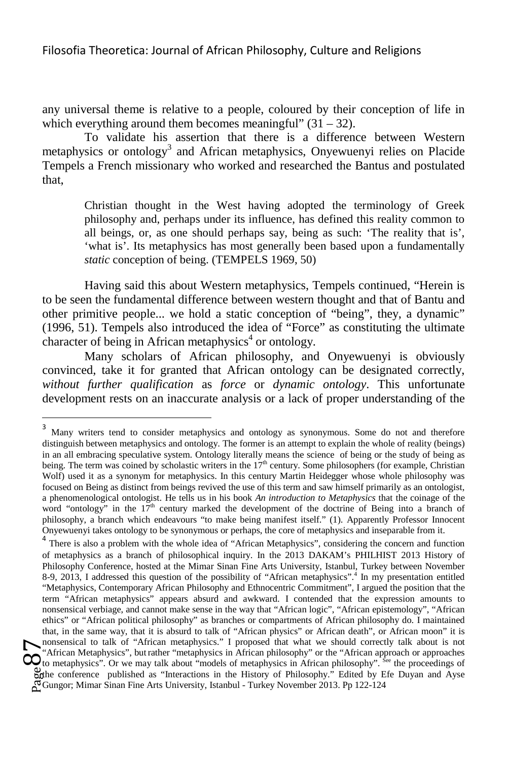any universal theme is relative to a people, coloured by their conception of life in which everything around them becomes meaningful"  $(31 – 32)$ .

 To validate his assertion that there is a difference between Western metaphysics or ontology<sup>3</sup> and African metaphysics, Onyewuenyi relies on Placide Tempels a French missionary who worked and researched the Bantus and postulated that,

Christian thought in the West having adopted the terminology of Greek philosophy and, perhaps under its influence, has defined this reality common to all beings, or, as one should perhaps say, being as such: 'The reality that is', 'what is'. Its metaphysics has most generally been based upon a fundamentally *static* conception of being. (TEMPELS 1969, 50)

Having said this about Western metaphysics, Tempels continued, "Herein is to be seen the fundamental difference between western thought and that of Bantu and other primitive people... we hold a static conception of "being", they, a dynamic" (1996, 51). Tempels also introduced the idea of "Force" as constituting the ultimate character of being in African metaphysics<sup>4</sup> or ontology.

Many scholars of African philosophy, and Onyewuenyi is obviously convinced, take it for granted that African ontology can be designated correctly, *without further qualification* as *force* or *dynamic ontology*. This unfortunate development rests on an inaccurate analysis or a lack of proper understanding of the

<u>.</u>

<sup>&</sup>lt;sup>3</sup> Many writers tend to consider metaphysics and ontology as synonymous. Some do not and therefore distinguish between metaphysics and ontology. The former is an attempt to explain the whole of reality (beings) in an all embracing speculative system. Ontology literally means the science of being or the study of being as being. The term was coined by scholastic writers in the  $17<sup>th</sup>$  century. Some philosophers (for example, Christian Wolf) used it as a synonym for metaphysics. In this century Martin Heidegger whose whole philosophy was focused on Being as distinct from beings revived the use of this term and saw himself primarily as an ontologist, a phenomenological ontologist. He tells us in his book *An introduction to Metaphysics* that the coinage of the word "ontology" in the  $17<sup>th</sup>$  century marked the development of the doctrine of Being into a branch of philosophy, a branch which endeavours "to make being manifest itself." (1). Apparently Professor Innocent Onyewuenyi takes ontology to be synonymous or perhaps, the core of metaphysics and inseparable from it.

 $\sum_{\substack{\text{``At} \ \text{g} \text{the} \ \text{g} \text{G} \text{un}}}$ <sup>4</sup> There is also a problem with the whole idea of "African Metaphysics", considering the concern and function of metaphysics as a branch of philosophical inquiry. In the 2013 DAKAM's PHILHIST 2013 History of Philosophy Conference, hosted at the Mimar Sinan Fine Arts University, Istanbul, Turkey between November 8-9, 2013, I addressed this question of the possibility of "African metaphysics".<sup>4</sup> In my presentation entitled "Metaphysics, Contemporary African Philosophy and Ethnocentric Commitment", I argued the position that the term "African metaphysics" appears absurd and awkward. I contended that the expression amounts to nonsensical verbiage, and cannot make sense in the way that "African logic", "African epistemology", "African ethics" or "African political philosophy" as branches or compartments of African philosophy do. I maintained that, in the same way, that it is absurd to talk of "African physics" or African death", or African moon" it is nonsensical to talk of "African metaphysics." I proposed that what we should correctly talk about is not "African Metaphysics", butrather "metaphysics in African philosophy" or the "African approach or approaches **O** to metaphysics". Or we may talk about "models of metaphysics in African philosophy". See the proceedings of the conference published as "Interactions in the History of Philosophy." Edited by Efe Duyan and Ayse Gungor; Mimar Sinan Fine Arts University, Istanbul - Turkey November 2013. Pp 122-124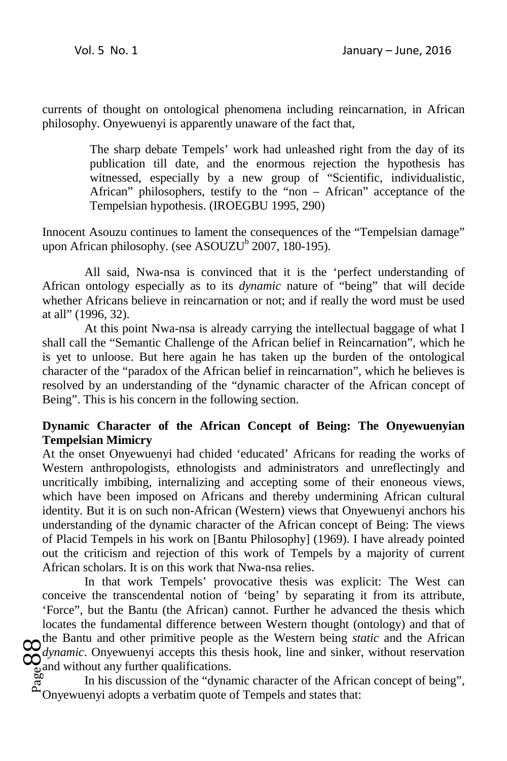currents of thought on ontological phenomena including reincarnation, in African philosophy. Onyewuenyi is apparently unaware of the fact that,

> The sharp debate Tempels' work had unleashed right from the day of its publication till date, and the enormous rejection the hypothesis has witnessed, especially by a new group of "Scientific, individualistic, African" philosophers, testify to the "non – African" acceptance of the Tempelsian hypothesis. (IROEGBU 1995, 290)

Innocent Asouzu continues to lament the consequences of the "Tempelsian damage" upon African philosophy. (see  $ASOUZU^b$  2007, 180-195).

 All said, Nwa-nsa is convinced that it is the 'perfect understanding of African ontology especially as to its *dynamic* nature of "being" that will decide whether Africans believe in reincarnation or not; and if really the word must be used at all" (1996, 32).

 At this point Nwa-nsa is already carrying the intellectual baggage of what I shall call the "Semantic Challenge of the African belief in Reincarnation", which he is yet to unloose. But here again he has taken up the burden of the ontological character of the "paradox of the African belief in reincarnation", which he believes is resolved by an understanding of the "dynamic character of the African concept of Being". This is his concern in the following section.

# **Dynamic Character of the African Concept of Being: The Onyewuenyian Tempelsian Mimicry**

At the onset Onyewuenyi had chided 'educated' Africans for reading the works of Western anthropologists, ethnologists and administrators and unreflectingly and uncritically imbibing, internalizing and accepting some of their enoneous views, which have been imposed on Africans and thereby undermining African cultural identity. But it is on such non-African (Western) views that Onyewuenyi anchors his understanding of the dynamic character of the African concept of Being: The views of Placid Tempels in his work on [Bantu Philosophy] (1969). I have already pointed out the criticism and rejection of this work of Tempels by a majority of current African scholars. It is on this work that Nwa-nsa relies.

 $\bigotimes_{\substack{\text{a.g.}\\ \text{a.g.}}}^{\text{un}}$  In that work Tempels' provocative thesis was explicit: The West can conceive the transcendental notion of 'being' by separating it from its attribute, 'Force", but the Bantu (the African) cannot. Further he advanced the thesis which locates the fundamental difference between Western thought (ontology) and that of  $\infty$ <sup>the Bantu and other primitive people as the Western being *static* and the African</sup> *dynamic*. Onyewuenyi accepts this thesis hook, line and sinker, without reservation and without any further qualifications.

 In his discussion of the "dynamic character of the African concept of being", Onyewuenyi adopts a verbatim quote of Tempels and states that: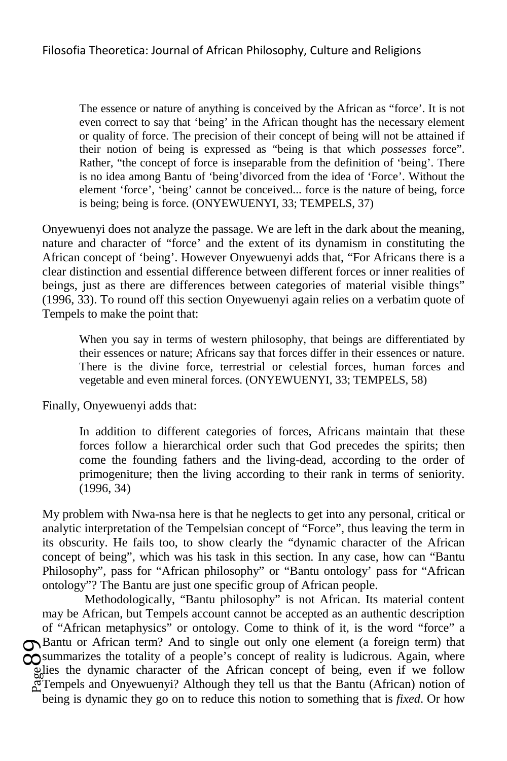The essence or nature of anything is conceived by the African as "force'. It is not even correct to say that 'being' in the African thought has the necessary element or quality of force. The precision of their concept of being will not be attained if their notion of being is expressed as "being is that which *possesses* force". Rather, "the concept of force is inseparable from the definition of 'being'. There is no idea among Bantu of 'being'divorced from the idea of 'Force'. Without the element 'force', 'being' cannot be conceived... force is the nature of being, force is being; being is force. (ONYEWUENYI, 33; TEMPELS, 37)

Onyewuenyi does not analyze the passage. We are left in the dark about the meaning, nature and character of "force' and the extent of its dynamism in constituting the African concept of 'being'. However Onyewuenyi adds that, "For Africans there is a clear distinction and essential difference between different forces or inner realities of beings, just as there are differences between categories of material visible things" (1996, 33). To round off this section Onyewuenyi again relies on a verbatim quote of Tempels to make the point that:

When you say in terms of western philosophy, that beings are differentiated by their essences or nature; Africans say that forces differ in their essences or nature. There is the divine force, terrestrial or celestial forces, human forces and vegetable and even mineral forces. (ONYEWUENYI, 33; TEMPELS, 58)

Finally, Onyewuenyi adds that:

In addition to different categories of forces, Africans maintain that these forces follow a hierarchical order such that God precedes the spirits; then come the founding fathers and the living-dead, according to the order of primogeniture; then the living according to their rank in terms of seniority. (1996, 34)

My problem with Nwa-nsa here is that he neglects to get into any personal, critical or analytic interpretation of the Tempelsian concept of "Force", thus leaving the term in its obscurity. He fails too, to show clearly the "dynamic character of the African concept of being", which was his task in this section. In any case, how can "Bantu Philosophy", pass for "African philosophy" or "Bantu ontology' pass for "African ontology"? The Bantu are just one specific group of African people.

 $\mathbf{Q}^\mathtt{sw}_\mathtt{glie} \ \mathbb{E}^\mathtt{H}$  Methodologically, "Bantu philosophy" is not African. Its material content may be African, but Tempels account cannot be accepted as an authentic description of "African metaphysics" or ontology. Come to think of it, is the word "force" a Bantu or African term? And to single out only one element (a foreign term) that  $\sum$ summarizes the totality of a people's concept of reality is ludicrous. Again, where lies the dynamic character of the African concept of being, even if we follow Tempels and Onyewuenyi? Although they tell us that the Bantu (African) notion of being is dynamic they go on to reduce this notion to something that is *fixed*. Or how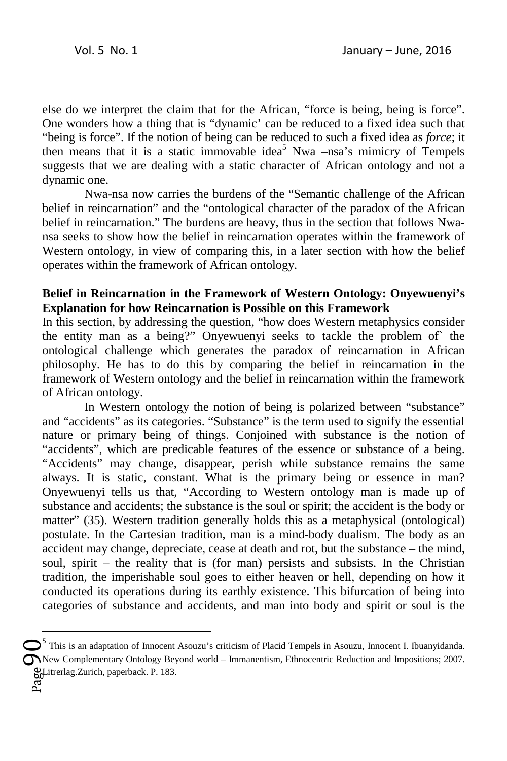-

else do we interpret the claim that for the African, "force is being, being is force". One wonders how a thing that is "dynamic' can be reduced to a fixed idea such that "being is force". If the notion of being can be reduced to such a fixed idea as *force*; it then means that it is a static immovable idea<sup>5</sup> Nwa  $-$ nsa's mimicry of Tempels suggests that we are dealing with a static character of African ontology and not a dynamic one.

 Nwa-nsa now carries the burdens of the "Semantic challenge of the African belief in reincarnation" and the "ontological character of the paradox of the African belief in reincarnation." The burdens are heavy, thus in the section that follows Nwansa seeks to show how the belief in reincarnation operates within the framework of Western ontology, in view of comparing this, in a later section with how the belief operates within the framework of African ontology.

# **Belief in Reincarnation in the Framework of Western Ontology: Onyewuenyi's Explanation for how Reincarnation is Possible on this Framework**

In this section, by addressing the question, "how does Western metaphysics consider the entity man as a being?" Onyewuenyi seeks to tackle the problem of` the ontological challenge which generates the paradox of reincarnation in African philosophy. He has to do this by comparing the belief in reincarnation in the framework of Western ontology and the belief in reincarnation within the framework of African ontology.

In Western ontology the notion of being is polarized between "substance" and "accidents" as its categories. "Substance" is the term used to signify the essential nature or primary being of things. Conjoined with substance is the notion of "accidents", which are predicable features of the essence or substance of a being. "Accidents" may change, disappear, perish while substance remains the same always. It is static, constant. What is the primary being or essence in man? Onyewuenyi tells us that, "According to Western ontology man is made up of substance and accidents; the substance is the soul or spirit; the accident is the body or matter" (35). Western tradition generally holds this as a metaphysical (ontological) postulate. In the Cartesian tradition, man is a mind-body dualism. The body as an accident may change, depreciate, cease at death and rot, but the substance – the mind, soul, spirit – the reality that is (for man) persists and subsists. In the Christian tradition, the imperishable soul goes to either heaven or hell, depending on how it conducted its operations during its earthly existence. This bifurcation of being into categories of substance and accidents, and man into body and spirit or soul is the

 $\bigodot_{\text{Pa}\overset{\text{SC}}{\text{gcl}} \text{int}}^{\text{T}}$ <sup>5</sup> This is an adaptation of Innocent Asouzu's criticism of Placid Tempels in Asouzu, Innocent I. Ibuanyidanda. New Complementary Ontology Beyond world – Immanentism, Ethnocentric Reduction and Impositions; 2007. Litrerlag.Zurich, paperback. P. 183.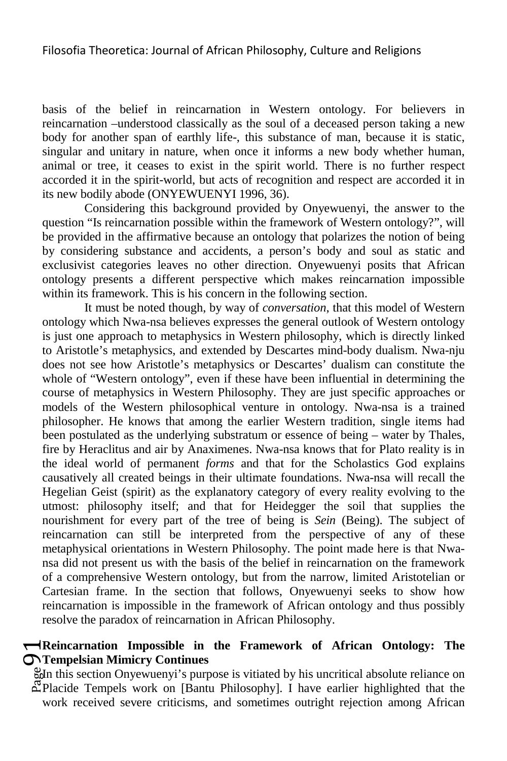basis of the belief in reincarnation in Western ontology. For believers in reincarnation –understood classically as the soul of a deceased person taking a new body for another span of earthly life-, this substance of man, because it is static, singular and unitary in nature, when once it informs a new body whether human, animal or tree, it ceases to exist in the spirit world. There is no further respect accorded it in the spirit-world, but acts of recognition and respect are accorded it in its new bodily abode (ONYEWUENYI 1996, 36).

Considering this background provided by Onyewuenyi, the answer to the question "Is reincarnation possible within the framework of Western ontology?", will be provided in the affirmative because an ontology that polarizes the notion of being by considering substance and accidents, a person's body and soul as static and exclusivist categories leaves no other direction. Onyewuenyi posits that African ontology presents a different perspective which makes reincarnation impossible within its framework. This is his concern in the following section.

It must be noted though, by way of *conversation*, that this model of Western ontology which Nwa-nsa believes expresses the general outlook of Western ontology is just one approach to metaphysics in Western philosophy, which is directly linked to Aristotle's metaphysics, and extended by Descartes mind-body dualism. Nwa-nju does not see how Aristotle's metaphysics or Descartes' dualism can constitute the whole of "Western ontology", even if these have been influential in determining the course of metaphysics in Western Philosophy. They are just specific approaches or models of the Western philosophical venture in ontology. Nwa-nsa is a trained philosopher. He knows that among the earlier Western tradition, single items had been postulated as the underlying substratum or essence of being – water by Thales, fire by Heraclitus and air by Anaximenes. Nwa-nsa knows that for Plato reality is in the ideal world of permanent *forms* and that for the Scholastics God explains causatively all created beings in their ultimate foundations. Nwa-nsa will recall the Hegelian Geist (spirit) as the explanatory category of every reality evolving to the utmost: philosophy itself; and that for Heidegger the soil that supplies the nourishment for every part of the tree of being is *Sein* (Being). The subject of reincarnation can still be interpreted from the perspective of any of these metaphysical orientations in Western Philosophy. The point made here is that Nwansa did not present us with the basis of the belief in reincarnation on the framework of a comprehensive Western ontology, but from the narrow, limited Aristotelian or Cartesian frame. In the section that follows, Onyewuenyi seeks to show how reincarnation is impossible in the framework of African ontology and thus possibly resolve the paradox of reincarnation in African Philosophy.

# $\bigcirc_{\substack{\text{gen} \ \text{of} \ \text{of} \ \text{of} \ \text{of} \ \text{of} \ \text{of} \ \text{of} \ \text{of} \ \text{of} \ \text{of} \ \text{of} \ \text{of} \ \text{of} \ \text{of} \ \text{of} \ \text{of} \ \text{of} \ \text{of} \ \text{of} \ \text{of} \ \text{of} \ \text{of} \ \text{of} \ \text{of} \ \text{of} \ \text{of} \ \text{of} \ \text{of} \ \text{of} \ \text{of} \ \text{of} \ \text{of} \ \text{of} \ \text{of} \ \text{$ **Reincarnation Impossible in the Framework of African Ontology: The Tempelsian Mimicry Continues**

In this section Onyewuenyi's purpose is vitiated by his uncritical absolute reliance on  $\mathbb{Z}$ Placide Tempels work on [Bantu Philosophy]. I have earlier highlighted that the work received severe criticisms, and sometimes outright rejection among African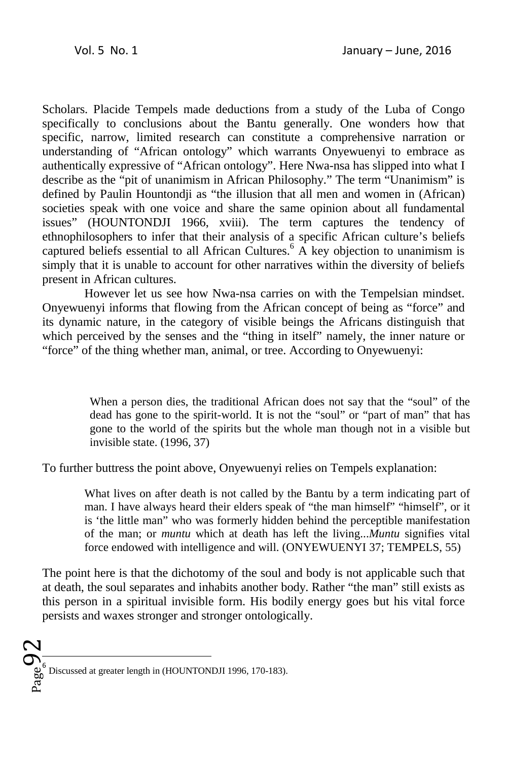Scholars. Placide Tempels made deductions from a study of the Luba of Congo specifically to conclusions about the Bantu generally. One wonders how that specific, narrow, limited research can constitute a comprehensive narration or understanding of "African ontology" which warrants Onyewuenyi to embrace as authentically expressive of "African ontology". Here Nwa-nsa has slipped into what I describe as the "pit of unanimism in African Philosophy." The term "Unanimism" is defined by Paulin Hountondji as "the illusion that all men and women in (African) societies speak with one voice and share the same opinion about all fundamental issues" (HOUNTONDJI 1966, xviii). The term captures the tendency of ethnophilosophers to infer that their analysis of a specific African culture's beliefs captured beliefs essential to all African Cultures.<sup>6</sup> A key objection to unanimism is simply that it is unable to account for other narratives within the diversity of beliefs present in African cultures.

 However let us see how Nwa-nsa carries on with the Tempelsian mindset. Onyewuenyi informs that flowing from the African concept of being as "force" and its dynamic nature, in the category of visible beings the Africans distinguish that which perceived by the senses and the "thing in itself" namely, the inner nature or "force" of the thing whether man, animal, or tree. According to Onyewuenyi:

> When a person dies, the traditional African does not say that the "soul" of the dead has gone to the spirit-world. It is not the "soul" or "part of man" that has gone to the world of the spirits but the whole man though not in a visible but invisible state. (1996, 37)

To further buttress the point above, Onyewuenyi relies on Tempels explanation:

What lives on after death is not called by the Bantu by a term indicating part of man. I have always heard their elders speak of "the man himself" "himself", or it is 'the little man" who was formerly hidden behind the perceptible manifestation of the man; or *muntu* which at death has left the living...*Muntu* signifies vital force endowed with intelligence and will. (ONYEWUENYI 37; TEMPELS, 55)

The point here is that the dichotomy of the soul and body is not applicable such that at death, the soul separates and inhabits another body. Rather "the man" still exists as this person in a spiritual invisible form. His bodily energy goes but his vital force persists and waxes stronger and stronger ontologically.

 $\mathrm{Page}$ 9 $\mathrm{O}_{\mathrm{p}}$ <u>.</u> 6 Discussed at greater length in (HOUNTONDJI 1996, 170-183).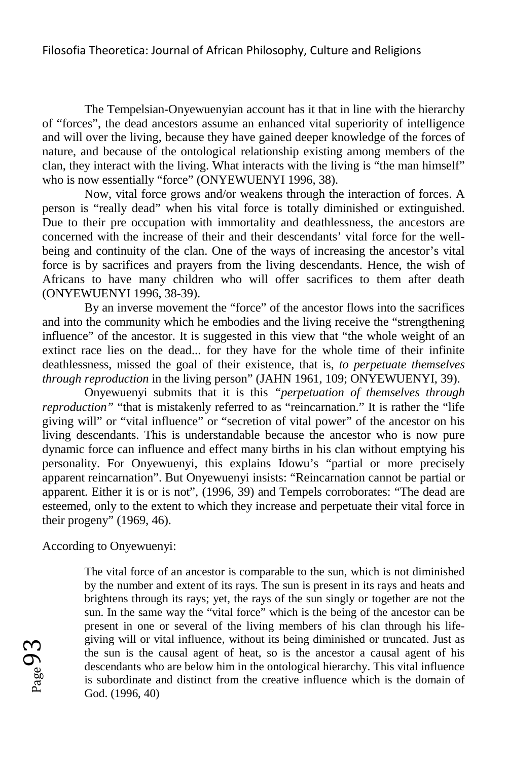The Tempelsian-Onyewuenyian account has it that in line with the hierarchy of "forces", the dead ancestors assume an enhanced vital superiority of intelligence and will over the living, because they have gained deeper knowledge of the forces of nature, and because of the ontological relationship existing among members of the clan, they interact with the living. What interacts with the living is "the man himself" who is now essentially "force" (ONYEWUENYI 1996, 38).

Now, vital force grows and/or weakens through the interaction of forces. A person is "really dead" when his vital force is totally diminished or extinguished. Due to their pre occupation with immortality and deathlessness, the ancestors are concerned with the increase of their and their descendants' vital force for the wellbeing and continuity of the clan. One of the ways of increasing the ancestor's vital force is by sacrifices and prayers from the living descendants. Hence, the wish of Africans to have many children who will offer sacrifices to them after death (ONYEWUENYI 1996, 38-39).

By an inverse movement the "force" of the ancestor flows into the sacrifices and into the community which he embodies and the living receive the "strengthening influence" of the ancestor. It is suggested in this view that "the whole weight of an extinct race lies on the dead... for they have for the whole time of their infinite deathlessness, missed the goal of their existence, that is, *to perpetuate themselves through reproduction* in the living person" (JAHN 1961, 109; ONYEWUENYI, 39).

Onyewuenyi submits that it is this *"perpetuation of themselves through reproduction"* "that is mistakenly referred to as "reincarnation." It is rather the "life giving will" or "vital influence" or "secretion of vital power" of the ancestor on his living descendants. This is understandable because the ancestor who is now pure dynamic force can influence and effect many births in his clan without emptying his personality. For Onyewuenyi, this explains Idowu's "partial or more precisely apparent reincarnation". But Onyewuenyi insists: "Reincarnation cannot be partial or apparent. Either it is or is not", (1996, 39) and Tempels corroborates: "The dead are esteemed, only to the extent to which they increase and perpetuate their vital force in their progeny" (1969, 46).

According to Onyewuenyi:

The vital force of an ancestor is comparable to the sun, which is not diminished by the number and extent of its rays. The sun is present in its rays and heats and brightens through its rays; yet, the rays of the sun singly or together are not the sun. In the same way the "vital force" which is the being of the ancestor can be present in one or several of the living members of his clan through his lifegiving will or vital influence, without its being diminished or truncated. Just as the sun is the causal agent of heat, so is the ancestor a causal agent of his descendants who are below him in the ontological hierarchy. This vital influence is subordinate and distinct from the creative influence which is the domain of God. (1996, 40)

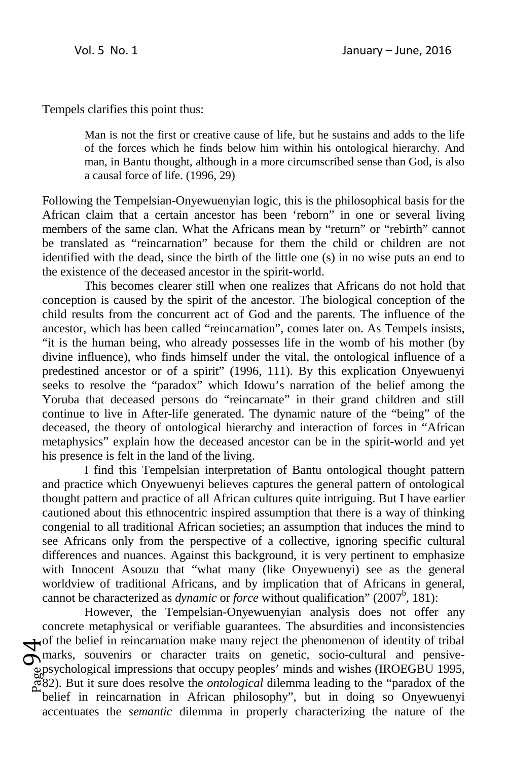Tempels clarifies this point thus:

Man is not the first or creative cause of life, but he sustains and adds to the life of the forces which he finds below him within his ontological hierarchy. And man, in Bantu thought, although in a more circumscribed sense than God, is also a causal force of life. (1996, 29)

Following the Tempelsian-Onyewuenyian logic, this is the philosophical basis for the African claim that a certain ancestor has been 'reborn" in one or several living members of the same clan. What the Africans mean by "return" or "rebirth" cannot be translated as "reincarnation" because for them the child or children are not identified with the dead, since the birth of the little one (s) in no wise puts an end to the existence of the deceased ancestor in the spirit-world.

 This becomes clearer still when one realizes that Africans do not hold that conception is caused by the spirit of the ancestor. The biological conception of the child results from the concurrent act of God and the parents. The influence of the ancestor, which has been called "reincarnation", comes later on. As Tempels insists, "it is the human being, who already possesses life in the womb of his mother (by divine influence), who finds himself under the vital, the ontological influence of a predestined ancestor or of a spirit" (1996, 111). By this explication Onyewuenyi seeks to resolve the "paradox" which Idowu's narration of the belief among the Yoruba that deceased persons do "reincarnate" in their grand children and still continue to live in After-life generated. The dynamic nature of the "being" of the deceased, the theory of ontological hierarchy and interaction of forces in "African metaphysics" explain how the deceased ancestor can be in the spirit-world and yet his presence is felt in the land of the living.

 I find this Tempelsian interpretation of Bantu ontological thought pattern and practice which Onyewuenyi believes captures the general pattern of ontological thought pattern and practice of all African cultures quite intriguing. But I have earlier cautioned about this ethnocentric inspired assumption that there is a way of thinking congenial to all traditional African societies; an assumption that induces the mind to see Africans only from the perspective of a collective, ignoring specific cultural differences and nuances. Against this background, it is very pertinent to emphasize with Innocent Asouzu that "what many (like Onyewuenyi) see as the general worldview of traditional Africans, and by implication that of Africans in general, cannot be characterized as *dynamic* or *force* without qualification"  $(2007^b, 181)$ :

 $\mathsf{S}^{\text{age}}_{\text{p}}$  However, the Tempelsian-Onyewuenyian analysis does not offer any concrete metaphysical or verifiable guarantees. The absurdities and inconsistencies  $\leftrightarrow$  of the belief in reincarnation make many reject the phenomenon of identity of tribal marks, souvenirs or character traits on genetic, socio-cultural and pensivepsychological impressions that occupy peoples' minds and wishes (IROEGBU 1995, 82). But it sure does resolve the *ontological* dilemma leading to the "paradox of the belief in reincarnation in African philosophy", but in doing so Onyewuenyi accentuates the *semantic* dilemma in properly characterizing the nature of the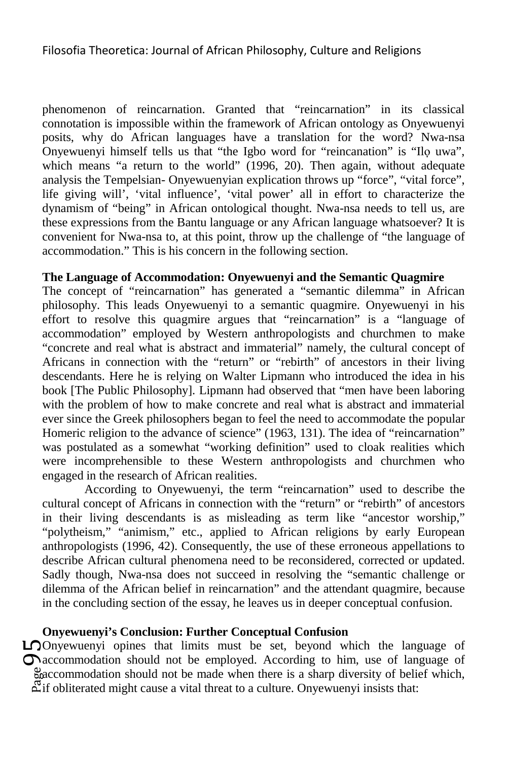phenomenon of reincarnation. Granted that "reincarnation" in its classical connotation is impossible within the framework of African ontology as Onyewuenyi posits, why do African languages have a translation for the word? Nwa-nsa Onyewuenyi himself tells us that "the Igbo word for "reincanation" is "Ilọ uwa", which means "a return to the world" (1996, 20). Then again, without adequate analysis the Tempelsian- Onyewuenyian explication throws up "force", "vital force", life giving will', 'vital influence', 'vital power' all in effort to characterize the dynamism of "being" in African ontological thought. Nwa-nsa needs to tell us, are these expressions from the Bantu language or any African language whatsoever? It is convenient for Nwa-nsa to, at this point, throw up the challenge of "the language of accommodation." This is his concern in the following section.

#### **The Language of Accommodation: Onyewuenyi and the Semantic Quagmire**

The concept of "reincarnation" has generated a "semantic dilemma" in African philosophy. This leads Onyewuenyi to a semantic quagmire. Onyewuenyi in his effort to resolve this quagmire argues that "reincarnation" is a "language of accommodation" employed by Western anthropologists and churchmen to make "concrete and real what is abstract and immaterial" namely, the cultural concept of Africans in connection with the "return" or "rebirth" of ancestors in their living descendants. Here he is relying on Walter Lipmann who introduced the idea in his book [The Public Philosophy]. Lipmann had observed that "men have been laboring with the problem of how to make concrete and real what is abstract and immaterial ever since the Greek philosophers began to feel the need to accommodate the popular Homeric religion to the advance of science" (1963, 131). The idea of "reincarnation" was postulated as a somewhat "working definition" used to cloak realities which were incomprehensible to these Western anthropologists and churchmen who engaged in the research of African realities.

 According to Onyewuenyi, the term "reincarnation" used to describe the cultural concept of Africans in connection with the "return" or "rebirth" of ancestors in their living descendants is as misleading as term like "ancestor worship," "polytheism," "animism," etc., applied to African religions by early European anthropologists (1996, 42). Consequently, the use of these erroneous appellations to describe African cultural phenomena need to be reconsidered, corrected or updated. Sadly though, Nwa-nsa does not succeed in resolving the "semantic challenge or dilemma of the African belief in reincarnation" and the attendant quagmire, because in the concluding section of the essay, he leaves us in deeper conceptual confusion.

## **Onyewuenyi's Conclusion: Further Conceptual Confusion**

 $\Omega_{\text{gacc}}^{\text{Dor}}$ **Lo**Onyewuenyi opines that limits must be set, beyond which the language of accommodation should not be employed. According to him, use of language of accommodation should not be made when there is a sharp diversity of belief which, if obliterated might cause a vital threat to a culture. Onyewuenyi insists that: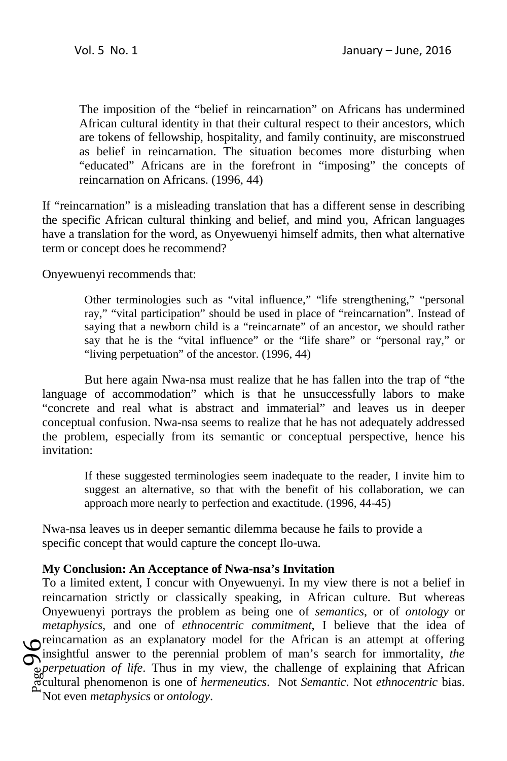The imposition of the "belief in reincarnation" on Africans has undermined African cultural identity in that their cultural respect to their ancestors, which are tokens of fellowship, hospitality, and family continuity, are misconstrued as belief in reincarnation. The situation becomes more disturbing when "educated" Africans are in the forefront in "imposing" the concepts of reincarnation on Africans. (1996, 44)

If "reincarnation" is a misleading translation that has a different sense in describing the specific African cultural thinking and belief, and mind you, African languages have a translation for the word, as Onyewuenyi himself admits, then what alternative term or concept does he recommend?

Onyewuenyi recommends that:

Other terminologies such as "vital influence," "life strengthening," "personal ray," "vital participation" should be used in place of "reincarnation". Instead of saying that a newborn child is a "reincarnate" of an ancestor, we should rather say that he is the "vital influence" or the "life share" or "personal ray," or "living perpetuation" of the ancestor. (1996, 44)

But here again Nwa-nsa must realize that he has fallen into the trap of "the language of accommodation" which is that he unsuccessfully labors to make "concrete and real what is abstract and immaterial" and leaves us in deeper conceptual confusion. Nwa-nsa seems to realize that he has not adequately addressed the problem, especially from its semantic or conceptual perspective, hence his invitation:

If these suggested terminologies seem inadequate to the reader, I invite him to suggest an alternative, so that with the benefit of his collaboration, we can approach more nearly to perfection and exactitude. (1996, 44-45)

Nwa-nsa leaves us in deeper semantic dilemma because he fails to provide a specific concept that would capture the concept Ilo-uwa.

## **My Conclusion: An Acceptance of Nwa-nsa's Invitation**

 $\sum_{\substack{\text{age} \ \text{gcd} \ \text{real}}}^{\text{neg}}$ To a limited extent, I concur with Onyewuenyi. In my view there is not a belief in reincarnation strictly or classically speaking, in African culture. But whereas Onyewuenyi portrays the problem as being one of *semantics*, or of *ontology* or *metaphysics*, and one of *ethnocentric commitment*, I believe that the idea of reincarnation as an explanatory model for the African is an attempt at offering insightful answer to the perennial problem of man's search for immortality, *the*  $\frac{1}{2}$ *perpetuation of life*. Thus in my view, the challenge of explaining that African cultural phenomenon is one of *hermeneutics*. Not *Semantic*. Not *ethnocentric* bias. Not even *metaphysics* or *ontology*.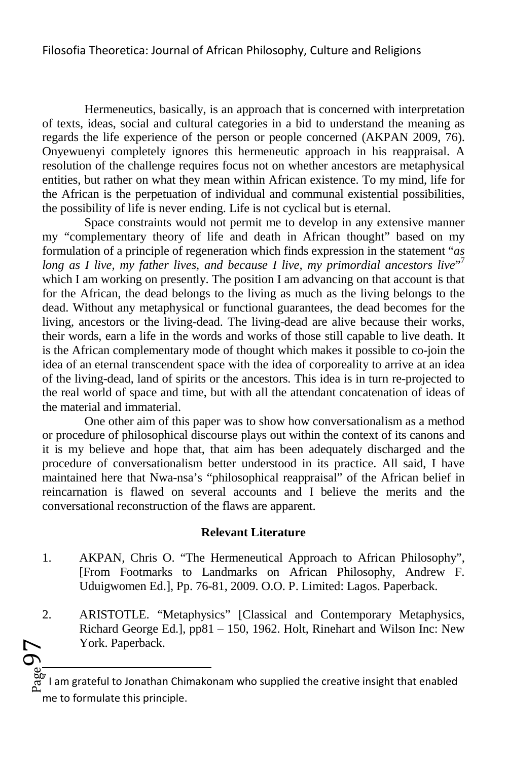Hermeneutics, basically, is an approach that is concerned with interpretation of texts, ideas, social and cultural categories in a bid to understand the meaning as regards the life experience of the person or people concerned (AKPAN 2009, 76). Onyewuenyi completely ignores this hermeneutic approach in his reappraisal. A resolution of the challenge requires focus not on whether ancestors are metaphysical entities, but rather on what they mean within African existence. To my mind, life for the African is the perpetuation of individual and communal existential possibilities, the possibility of life is never ending. Life is not cyclical but is eternal.

Space constraints would not permit me to develop in any extensive manner my "complementary theory of life and death in African thought" based on my formulation of a principle of regeneration which finds expression in the statement "*as*  long as I live, my father lives, and because I live, my primordial ancestors live"<sup>7</sup> which I am working on presently. The position I am advancing on that account is that for the African, the dead belongs to the living as much as the living belongs to the dead. Without any metaphysical or functional guarantees, the dead becomes for the living, ancestors or the living-dead. The living-dead are alive because their works, their words, earn a life in the words and works of those still capable to live death. It is the African complementary mode of thought which makes it possible to co-join the idea of an eternal transcendent space with the idea of corporeality to arrive at an idea of the living-dead, land of spirits or the ancestors. This idea is in turn re-projected to the real world of space and time, but with all the attendant concatenation of ideas of the material and immaterial.

 One other aim of this paper was to show how conversationalism as a method or procedure of philosophical discourse plays out within the context of its canons and it is my believe and hope that, that aim has been adequately discharged and the procedure of conversationalism better understood in its practice. All said, I have maintained here that Nwa-nsa's "philosophical reappraisal" of the African belief in reincarnation is flawed on several accounts and I believe the merits and the conversational reconstruction of the flaws are apparent.

# **Relevant Literature**

- 1. AKPAN, Chris O. "The Hermeneutical Approach to African Philosophy", [From Footmarks to Landmarks on African Philosophy, Andrew F. Uduigwomen Ed.], Pp. 76-81, 2009. O.O. P. Limited: Lagos. Paperback.
- 2. ARISTOTLE. "Metaphysics" [Classical and Contemporary Metaphysics, Richard George Ed.], pp81 – 150, 1962. Holt, Rinehart and Wilson Inc: New

York. Paperback.<br>
The Paper Lam grateful to Jonathan 7 I am grateful to Jonathan Chimakonam who supplied the creative insight that enabled me to formulate this principle.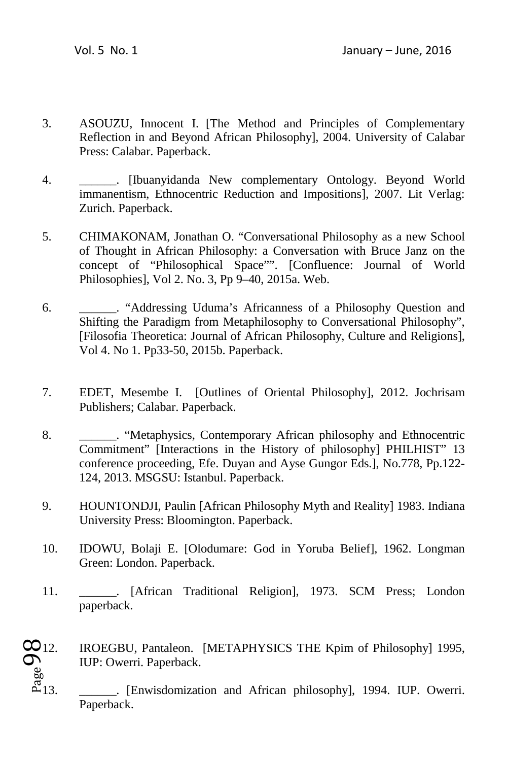- 3. ASOUZU, Innocent I. [The Method and Principles of Complementary Reflection in and Beyond African Philosophy], 2004. University of Calabar Press: Calabar. Paperback.
- 4. \_\_\_\_\_\_. [Ibuanyidanda New complementary Ontology. Beyond World immanentism, Ethnocentric Reduction and Impositions], 2007. Lit Verlag: Zurich. Paperback.
- 5. CHIMAKONAM, Jonathan O. "Conversational Philosophy as a new School of Thought in African Philosophy: a Conversation with Bruce Janz on the concept of "Philosophical Space"". [Confluence: Journal of World Philosophies], Vol 2. No. 3, Pp 9–40, 2015a. Web.
- 6. \_\_\_\_\_\_. "Addressing Uduma's Africanness of a Philosophy Question and Shifting the Paradigm from Metaphilosophy to Conversational Philosophy", [Filosofia Theoretica: Journal of African Philosophy, Culture and Religions], Vol 4. No 1. Pp33-50, 2015b. Paperback.
- 7. EDET, Mesembe I. [Outlines of Oriental Philosophy], 2012. Jochrisam Publishers; Calabar. Paperback.
- 8. \_\_\_\_\_\_. "Metaphysics, Contemporary African philosophy and Ethnocentric Commitment" [Interactions in the History of philosophy] PHILHIST" 13 conference proceeding, Efe. Duyan and Ayse Gungor Eds.], No.778, Pp.122- 124, 2013. MSGSU: Istanbul. Paperback.
- 9. HOUNTONDJI, Paulin [African Philosophy Myth and Reality] 1983. Indiana University Press: Bloomington. Paperback.
- 10. IDOWU, Bolaji E. [Olodumare: God in Yoruba Belief], 1962. Longman Green: London. Paperback.
- 11. **Example 11.** [African Traditional Religion], 1973. SCM Press; London paperback.
- $\mathfrak{D}_{\text{age}}^{12.}$ 12. IROEGBU, Pantaleon. [METAPHYSICS THE Kpim of Philosophy] 1995, IUP: Owerri. Paperback.
	- 13. [Enwisdomization and African philosophy], 1994. IUP. Owerri. Paperback.